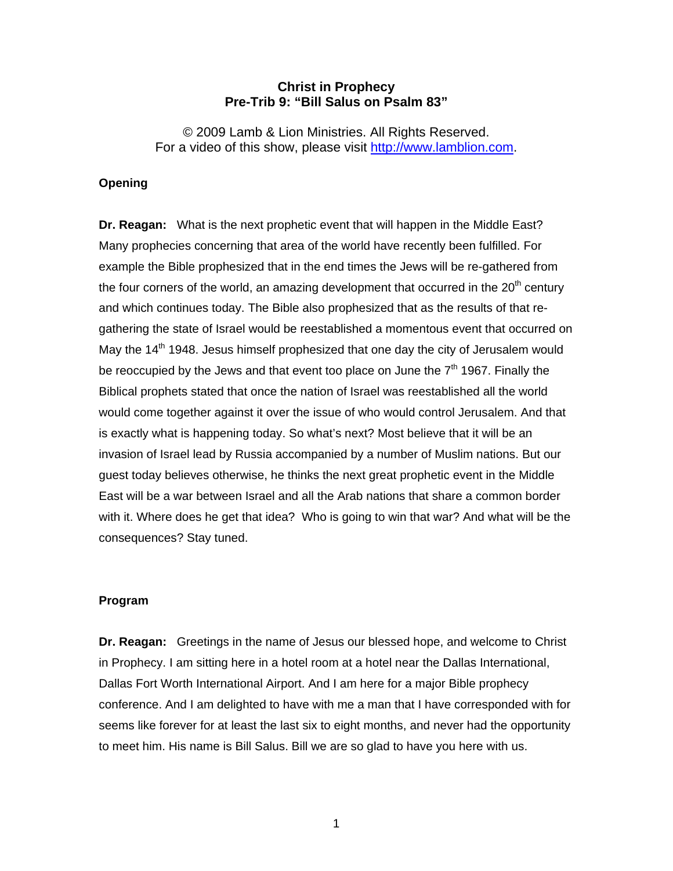# **Christ in Prophecy Pre-Trib 9: "Bill Salus on Psalm 83"**

© 2009 Lamb & Lion Ministries. All Rights Reserved. For a video of this show, please visit [http://www.lamblion.com](http://www.lamblion.com/).

## **Opening**

**Dr. Reagan:** What is the next prophetic event that will happen in the Middle East? Many prophecies concerning that area of the world have recently been fulfilled. For example the Bible prophesized that in the end times the Jews will be re-gathered from the four corners of the world, an amazing development that occurred in the  $20<sup>th</sup>$  century and which continues today. The Bible also prophesized that as the results of that regathering the state of Israel would be reestablished a momentous event that occurred on May the  $14<sup>th</sup>$  1948. Jesus himself prophesized that one day the city of Jerusalem would be reoccupied by the Jews and that event too place on June the  $7<sup>th</sup>$  1967. Finally the Biblical prophets stated that once the nation of Israel was reestablished all the world would come together against it over the issue of who would control Jerusalem. And that is exactly what is happening today. So what's next? Most believe that it will be an invasion of Israel lead by Russia accompanied by a number of Muslim nations. But our guest today believes otherwise, he thinks the next great prophetic event in the Middle East will be a war between Israel and all the Arab nations that share a common border with it. Where does he get that idea? Who is going to win that war? And what will be the consequences? Stay tuned.

#### **Program**

**Dr. Reagan:** Greetings in the name of Jesus our blessed hope, and welcome to Christ in Prophecy. I am sitting here in a hotel room at a hotel near the Dallas International, Dallas Fort Worth International Airport. And I am here for a major Bible prophecy conference. And I am delighted to have with me a man that I have corresponded with for seems like forever for at least the last six to eight months, and never had the opportunity to meet him. His name is Bill Salus. Bill we are so glad to have you here with us.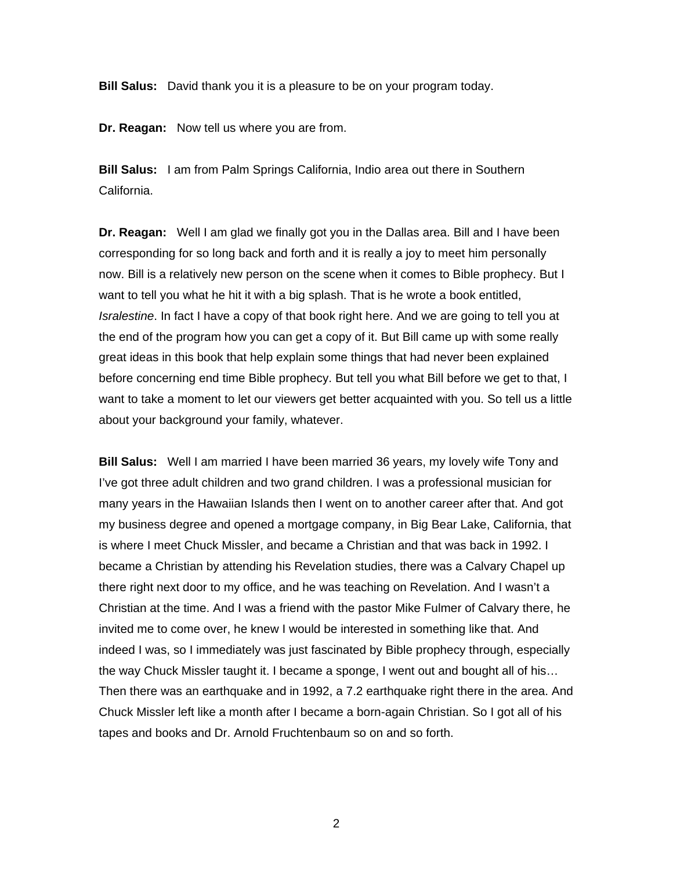**Bill Salus:** David thank you it is a pleasure to be on your program today.

**Dr. Reagan:** Now tell us where you are from.

**Bill Salus:** I am from Palm Springs California, Indio area out there in Southern California.

**Dr. Reagan:** Well I am glad we finally got you in the Dallas area. Bill and I have been corresponding for so long back and forth and it is really a joy to meet him personally now. Bill is a relatively new person on the scene when it comes to Bible prophecy. But I want to tell you what he hit it with a big splash. That is he wrote a book entitled, *Isralestine*. In fact I have a copy of that book right here. And we are going to tell you at the end of the program how you can get a copy of it. But Bill came up with some really great ideas in this book that help explain some things that had never been explained before concerning end time Bible prophecy. But tell you what Bill before we get to that, I want to take a moment to let our viewers get better acquainted with you. So tell us a little about your background your family, whatever.

**Bill Salus:** Well I am married I have been married 36 years, my lovely wife Tony and I've got three adult children and two grand children. I was a professional musician for many years in the Hawaiian Islands then I went on to another career after that. And got my business degree and opened a mortgage company, in Big Bear Lake, California, that is where I meet Chuck Missler, and became a Christian and that was back in 1992. I became a Christian by attending his Revelation studies, there was a Calvary Chapel up there right next door to my office, and he was teaching on Revelation. And I wasn't a Christian at the time. And I was a friend with the pastor Mike Fulmer of Calvary there, he invited me to come over, he knew I would be interested in something like that. And indeed I was, so I immediately was just fascinated by Bible prophecy through, especially the way Chuck Missler taught it. I became a sponge, I went out and bought all of his… Then there was an earthquake and in 1992, a 7.2 earthquake right there in the area. And Chuck Missler left like a month after I became a born-again Christian. So I got all of his tapes and books and Dr. Arnold Fruchtenbaum so on and so forth.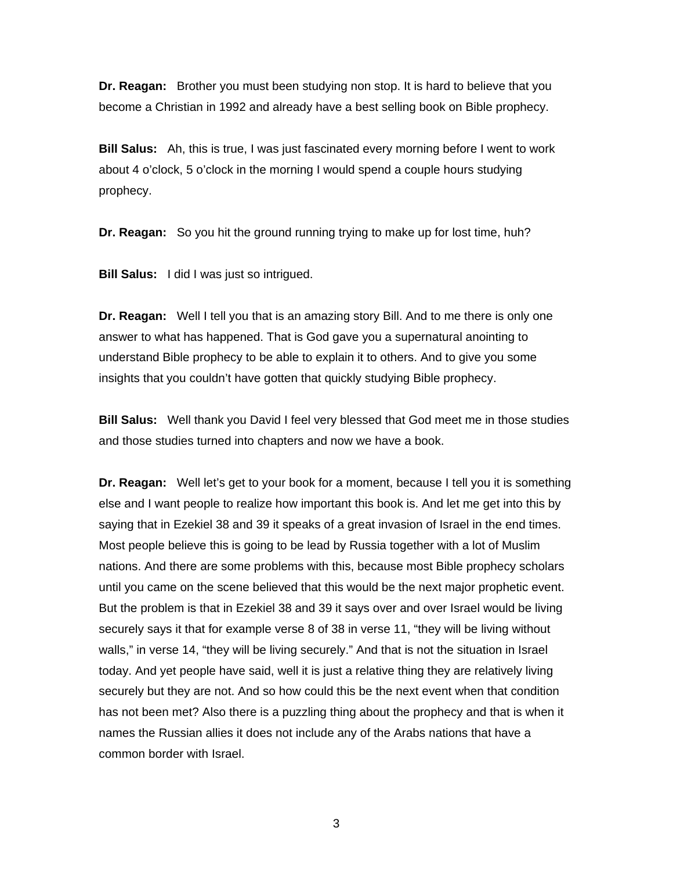**Dr. Reagan:** Brother you must been studying non stop. It is hard to believe that you become a Christian in 1992 and already have a best selling book on Bible prophecy.

**Bill Salus:** Ah, this is true, I was just fascinated every morning before I went to work about 4 o'clock, 5 o'clock in the morning I would spend a couple hours studying prophecy.

**Dr. Reagan:** So you hit the ground running trying to make up for lost time, huh?

**Bill Salus:** I did I was just so intrigued.

**Dr. Reagan:** Well I tell you that is an amazing story Bill. And to me there is only one answer to what has happened. That is God gave you a supernatural anointing to understand Bible prophecy to be able to explain it to others. And to give you some insights that you couldn't have gotten that quickly studying Bible prophecy.

**Bill Salus:** Well thank you David I feel very blessed that God meet me in those studies and those studies turned into chapters and now we have a book.

**Dr. Reagan:** Well let's get to your book for a moment, because I tell you it is something else and I want people to realize how important this book is. And let me get into this by saying that in Ezekiel 38 and 39 it speaks of a great invasion of Israel in the end times. Most people believe this is going to be lead by Russia together with a lot of Muslim nations. And there are some problems with this, because most Bible prophecy scholars until you came on the scene believed that this would be the next major prophetic event. But the problem is that in Ezekiel 38 and 39 it says over and over Israel would be living securely says it that for example verse 8 of 38 in verse 11, "they will be living without walls," in verse 14, "they will be living securely." And that is not the situation in Israel today. And yet people have said, well it is just a relative thing they are relatively living securely but they are not. And so how could this be the next event when that condition has not been met? Also there is a puzzling thing about the prophecy and that is when it names the Russian allies it does not include any of the Arabs nations that have a common border with Israel.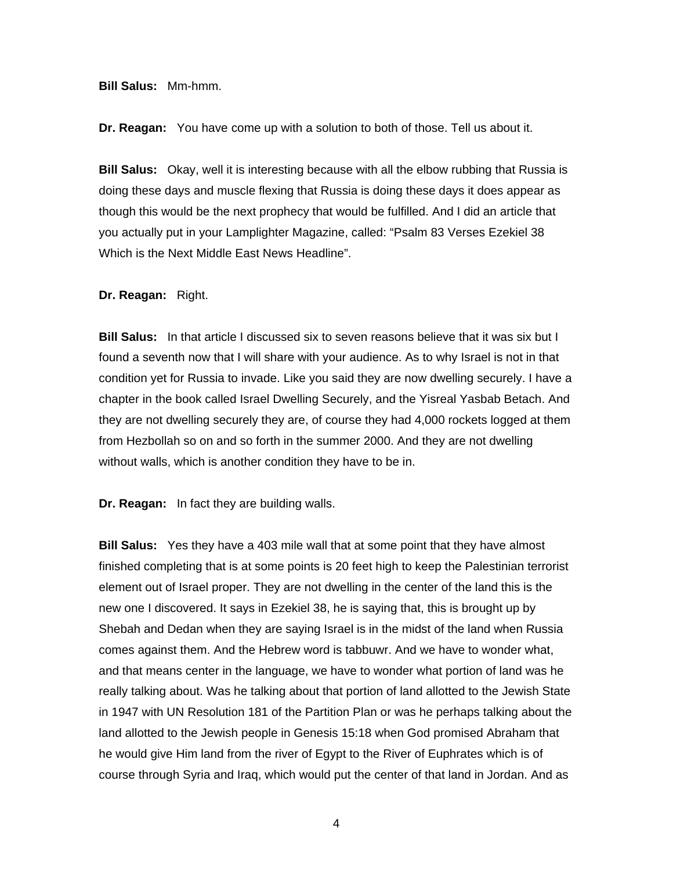## **Bill Salus:** Mm-hmm.

**Dr. Reagan:** You have come up with a solution to both of those. Tell us about it.

**Bill Salus:** Okay, well it is interesting because with all the elbow rubbing that Russia is doing these days and muscle flexing that Russia is doing these days it does appear as though this would be the next prophecy that would be fulfilled. And I did an article that you actually put in your Lamplighter Magazine, called: "Psalm 83 Verses Ezekiel 38 Which is the Next Middle East News Headline".

### **Dr. Reagan:** Right.

**Bill Salus:** In that article I discussed six to seven reasons believe that it was six but I found a seventh now that I will share with your audience. As to why Israel is not in that condition yet for Russia to invade. Like you said they are now dwelling securely. I have a chapter in the book called Israel Dwelling Securely, and the Yisreal Yasbab Betach. And they are not dwelling securely they are, of course they had 4,000 rockets logged at them from Hezbollah so on and so forth in the summer 2000. And they are not dwelling without walls, which is another condition they have to be in.

**Dr. Reagan:** In fact they are building walls.

**Bill Salus:** Yes they have a 403 mile wall that at some point that they have almost finished completing that is at some points is 20 feet high to keep the Palestinian terrorist element out of Israel proper. They are not dwelling in the center of the land this is the new one I discovered. It says in Ezekiel 38, he is saying that, this is brought up by Shebah and Dedan when they are saying Israel is in the midst of the land when Russia comes against them. And the Hebrew word is tabbuwr. And we have to wonder what, and that means center in the language, we have to wonder what portion of land was he really talking about. Was he talking about that portion of land allotted to the Jewish State in 1947 with UN Resolution 181 of the Partition Plan or was he perhaps talking about the land allotted to the Jewish people in Genesis 15:18 when God promised Abraham that he would give Him land from the river of Egypt to the River of Euphrates which is of course through Syria and Iraq, which would put the center of that land in Jordan. And as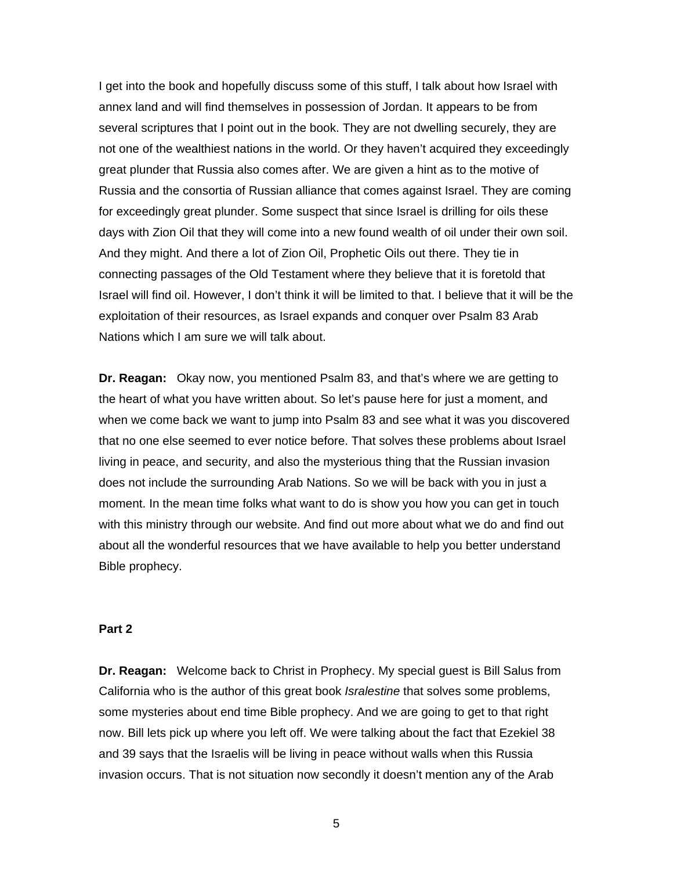I get into the book and hopefully discuss some of this stuff, I talk about how Israel with annex land and will find themselves in possession of Jordan. It appears to be from several scriptures that I point out in the book. They are not dwelling securely, they are not one of the wealthiest nations in the world. Or they haven't acquired they exceedingly great plunder that Russia also comes after. We are given a hint as to the motive of Russia and the consortia of Russian alliance that comes against Israel. They are coming for exceedingly great plunder. Some suspect that since Israel is drilling for oils these days with Zion Oil that they will come into a new found wealth of oil under their own soil. And they might. And there a lot of Zion Oil, Prophetic Oils out there. They tie in connecting passages of the Old Testament where they believe that it is foretold that Israel will find oil. However, I don't think it will be limited to that. I believe that it will be the exploitation of their resources, as Israel expands and conquer over Psalm 83 Arab Nations which I am sure we will talk about.

**Dr. Reagan:** Okay now, you mentioned Psalm 83, and that's where we are getting to the heart of what you have written about. So let's pause here for just a moment, and when we come back we want to jump into Psalm 83 and see what it was you discovered that no one else seemed to ever notice before. That solves these problems about Israel living in peace, and security, and also the mysterious thing that the Russian invasion does not include the surrounding Arab Nations. So we will be back with you in just a moment. In the mean time folks what want to do is show you how you can get in touch with this ministry through our website. And find out more about what we do and find out about all the wonderful resources that we have available to help you better understand Bible prophecy.

# **Part 2**

**Dr. Reagan:** Welcome back to Christ in Prophecy. My special guest is Bill Salus from California who is the author of this great book *Isralestine* that solves some problems, some mysteries about end time Bible prophecy. And we are going to get to that right now. Bill lets pick up where you left off. We were talking about the fact that Ezekiel 38 and 39 says that the Israelis will be living in peace without walls when this Russia invasion occurs. That is not situation now secondly it doesn't mention any of the Arab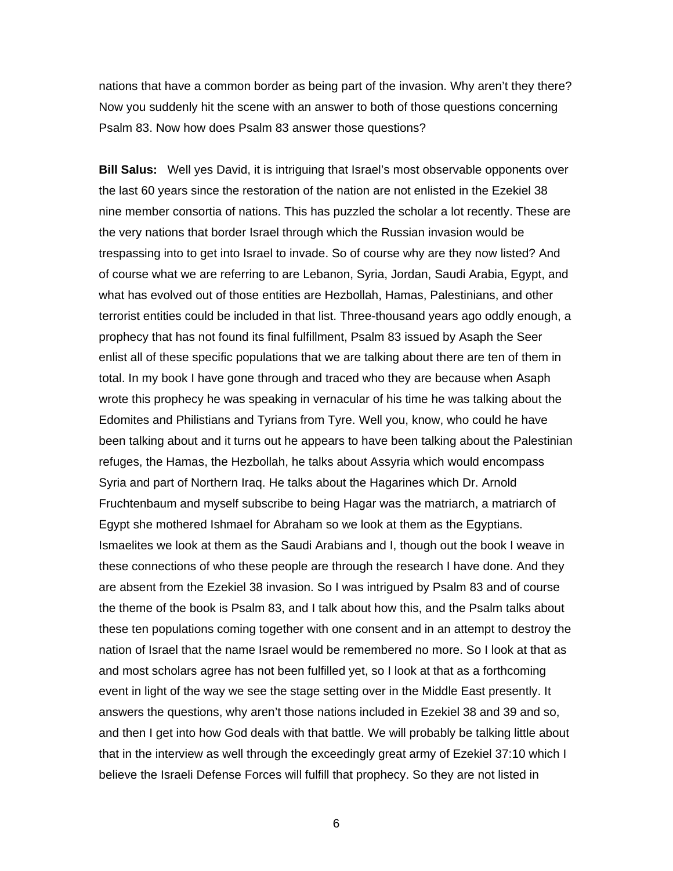nations that have a common border as being part of the invasion. Why aren't they there? Now you suddenly hit the scene with an answer to both of those questions concerning Psalm 83. Now how does Psalm 83 answer those questions?

**Bill Salus:** Well yes David, it is intriguing that Israel's most observable opponents over the last 60 years since the restoration of the nation are not enlisted in the Ezekiel 38 nine member consortia of nations. This has puzzled the scholar a lot recently. These are the very nations that border Israel through which the Russian invasion would be trespassing into to get into Israel to invade. So of course why are they now listed? And of course what we are referring to are Lebanon, Syria, Jordan, Saudi Arabia, Egypt, and what has evolved out of those entities are Hezbollah, Hamas, Palestinians, and other terrorist entities could be included in that list. Three-thousand years ago oddly enough, a prophecy that has not found its final fulfillment, Psalm 83 issued by Asaph the Seer enlist all of these specific populations that we are talking about there are ten of them in total. In my book I have gone through and traced who they are because when Asaph wrote this prophecy he was speaking in vernacular of his time he was talking about the Edomites and Philistians and Tyrians from Tyre. Well you, know, who could he have been talking about and it turns out he appears to have been talking about the Palestinian refuges, the Hamas, the Hezbollah, he talks about Assyria which would encompass Syria and part of Northern Iraq. He talks about the Hagarines which Dr. Arnold Fruchtenbaum and myself subscribe to being Hagar was the matriarch, a matriarch of Egypt she mothered Ishmael for Abraham so we look at them as the Egyptians. Ismaelites we look at them as the Saudi Arabians and I, though out the book I weave in these connections of who these people are through the research I have done. And they are absent from the Ezekiel 38 invasion. So I was intrigued by Psalm 83 and of course the theme of the book is Psalm 83, and I talk about how this, and the Psalm talks about these ten populations coming together with one consent and in an attempt to destroy the nation of Israel that the name Israel would be remembered no more. So I look at that as and most scholars agree has not been fulfilled yet, so I look at that as a forthcoming event in light of the way we see the stage setting over in the Middle East presently. It answers the questions, why aren't those nations included in Ezekiel 38 and 39 and so, and then I get into how God deals with that battle. We will probably be talking little about that in the interview as well through the exceedingly great army of Ezekiel 37:10 which I believe the Israeli Defense Forces will fulfill that prophecy. So they are not listed in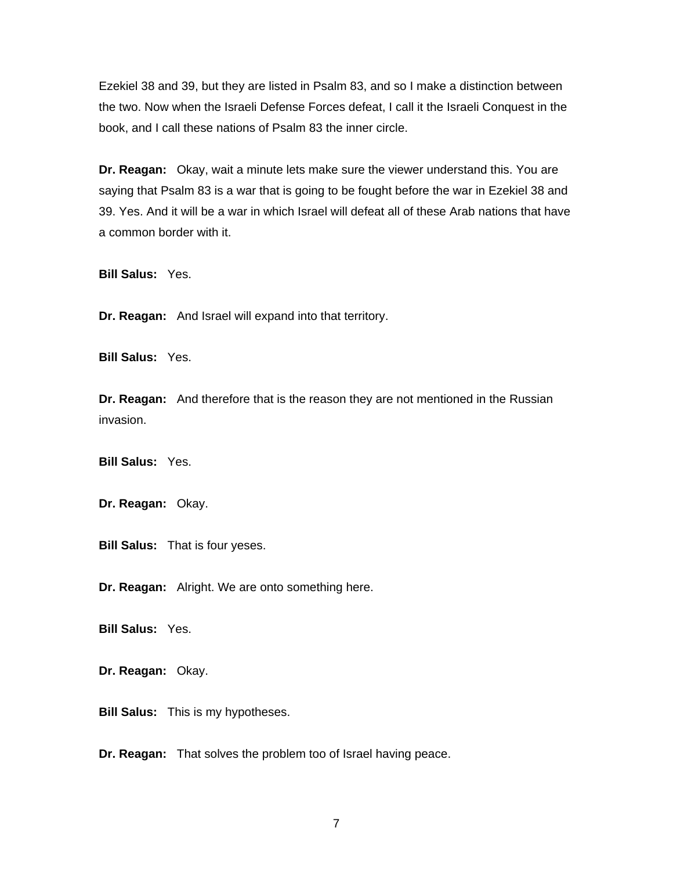Ezekiel 38 and 39, but they are listed in Psalm 83, and so I make a distinction between the two. Now when the Israeli Defense Forces defeat, I call it the Israeli Conquest in the book, and I call these nations of Psalm 83 the inner circle.

**Dr. Reagan:** Okay, wait a minute lets make sure the viewer understand this. You are saying that Psalm 83 is a war that is going to be fought before the war in Ezekiel 38 and 39. Yes. And it will be a war in which Israel will defeat all of these Arab nations that have a common border with it.

**Bill Salus:** Yes.

**Dr. Reagan:** And Israel will expand into that territory.

**Bill Salus:** Yes.

**Dr. Reagan:** And therefore that is the reason they are not mentioned in the Russian invasion.

**Bill Salus:** Yes.

**Dr. Reagan:** Okay.

**Bill Salus:** That is four yeses.

**Dr. Reagan:** Alright. We are onto something here.

**Bill Salus:** Yes.

**Dr. Reagan:** Okay.

**Bill Salus:** This is my hypotheses.

**Dr. Reagan:** That solves the problem too of Israel having peace.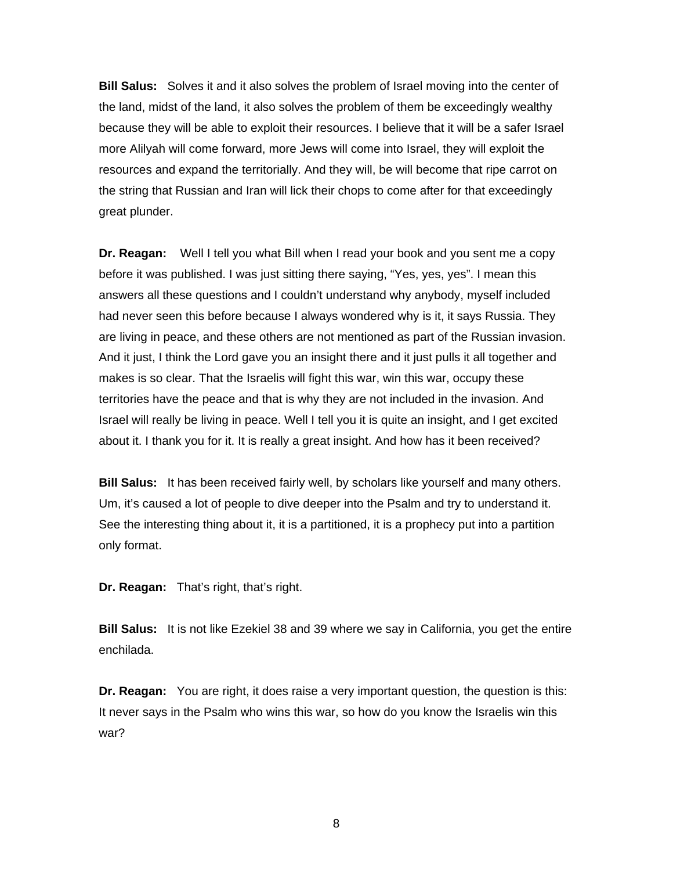**Bill Salus:** Solves it and it also solves the problem of Israel moving into the center of the land, midst of the land, it also solves the problem of them be exceedingly wealthy because they will be able to exploit their resources. I believe that it will be a safer Israel more Alilyah will come forward, more Jews will come into Israel, they will exploit the resources and expand the territorially. And they will, be will become that ripe carrot on the string that Russian and Iran will lick their chops to come after for that exceedingly great plunder.

**Dr. Reagan:** Well I tell you what Bill when I read your book and you sent me a copy before it was published. I was just sitting there saying, "Yes, yes, yes". I mean this answers all these questions and I couldn't understand why anybody, myself included had never seen this before because I always wondered why is it, it says Russia. They are living in peace, and these others are not mentioned as part of the Russian invasion. And it just, I think the Lord gave you an insight there and it just pulls it all together and makes is so clear. That the Israelis will fight this war, win this war, occupy these territories have the peace and that is why they are not included in the invasion. And Israel will really be living in peace. Well I tell you it is quite an insight, and I get excited about it. I thank you for it. It is really a great insight. And how has it been received?

**Bill Salus:** It has been received fairly well, by scholars like yourself and many others. Um, it's caused a lot of people to dive deeper into the Psalm and try to understand it. See the interesting thing about it, it is a partitioned, it is a prophecy put into a partition only format.

**Dr. Reagan:** That's right, that's right.

**Bill Salus:** It is not like Ezekiel 38 and 39 where we say in California, you get the entire enchilada.

**Dr. Reagan:** You are right, it does raise a very important question, the question is this: It never says in the Psalm who wins this war, so how do you know the Israelis win this war?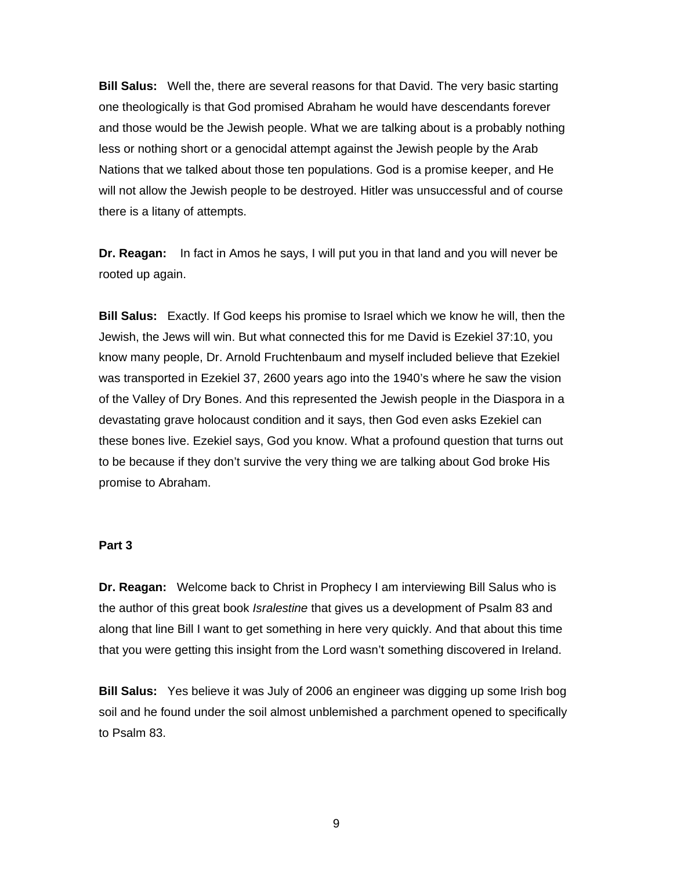**Bill Salus:** Well the, there are several reasons for that David. The very basic starting one theologically is that God promised Abraham he would have descendants forever and those would be the Jewish people. What we are talking about is a probably nothing less or nothing short or a genocidal attempt against the Jewish people by the Arab Nations that we talked about those ten populations. God is a promise keeper, and He will not allow the Jewish people to be destroyed. Hitler was unsuccessful and of course there is a litany of attempts.

**Dr. Reagan:** In fact in Amos he says, I will put you in that land and you will never be rooted up again.

**Bill Salus:** Exactly. If God keeps his promise to Israel which we know he will, then the Jewish, the Jews will win. But what connected this for me David is Ezekiel 37:10, you know many people, Dr. Arnold Fruchtenbaum and myself included believe that Ezekiel was transported in Ezekiel 37, 2600 years ago into the 1940's where he saw the vision of the Valley of Dry Bones. And this represented the Jewish people in the Diaspora in a devastating grave holocaust condition and it says, then God even asks Ezekiel can these bones live. Ezekiel says, God you know. What a profound question that turns out to be because if they don't survive the very thing we are talking about God broke His promise to Abraham.

## **Part 3**

**Dr. Reagan:** Welcome back to Christ in Prophecy I am interviewing Bill Salus who is the author of this great book *Isralestine* that gives us a development of Psalm 83 and along that line Bill I want to get something in here very quickly. And that about this time that you were getting this insight from the Lord wasn't something discovered in Ireland.

**Bill Salus:** Yes believe it was July of 2006 an engineer was digging up some Irish bog soil and he found under the soil almost unblemished a parchment opened to specifically to Psalm 83.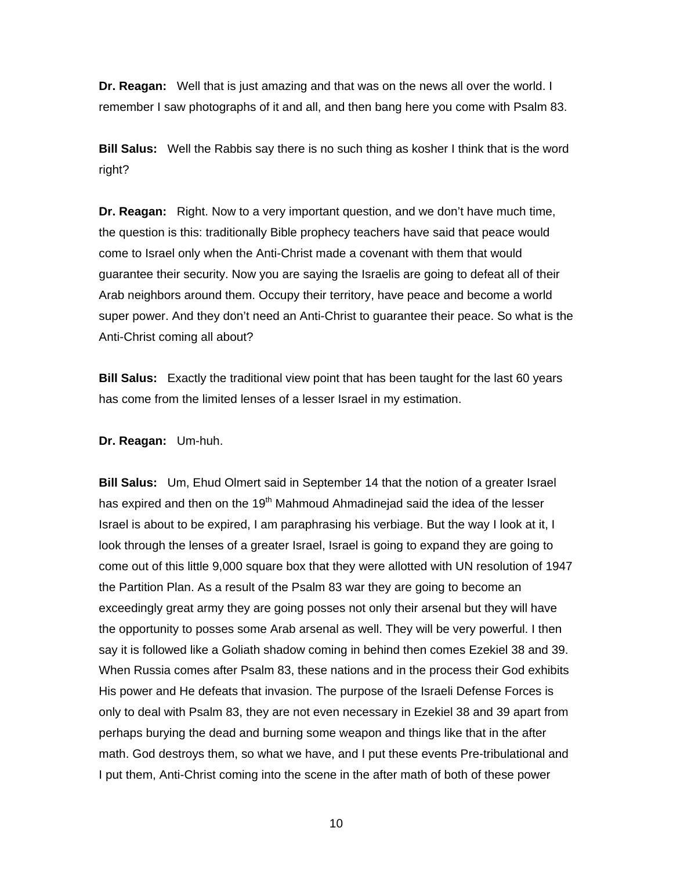**Dr. Reagan:** Well that is just amazing and that was on the news all over the world. I remember I saw photographs of it and all, and then bang here you come with Psalm 83.

**Bill Salus:** Well the Rabbis say there is no such thing as kosher I think that is the word right?

**Dr. Reagan:** Right. Now to a very important question, and we don't have much time, the question is this: traditionally Bible prophecy teachers have said that peace would come to Israel only when the Anti-Christ made a covenant with them that would guarantee their security. Now you are saying the Israelis are going to defeat all of their Arab neighbors around them. Occupy their territory, have peace and become a world super power. And they don't need an Anti-Christ to guarantee their peace. So what is the Anti-Christ coming all about?

**Bill Salus:** Exactly the traditional view point that has been taught for the last 60 years has come from the limited lenses of a lesser Israel in my estimation.

**Dr. Reagan:** Um-huh.

**Bill Salus:** Um, Ehud Olmert said in September 14 that the notion of a greater Israel has expired and then on the 19<sup>th</sup> Mahmoud Ahmadinejad said the idea of the lesser Israel is about to be expired, I am paraphrasing his verbiage. But the way I look at it, I look through the lenses of a greater Israel, Israel is going to expand they are going to come out of this little 9,000 square box that they were allotted with UN resolution of 1947 the Partition Plan. As a result of the Psalm 83 war they are going to become an exceedingly great army they are going posses not only their arsenal but they will have the opportunity to posses some Arab arsenal as well. They will be very powerful. I then say it is followed like a Goliath shadow coming in behind then comes Ezekiel 38 and 39. When Russia comes after Psalm 83, these nations and in the process their God exhibits His power and He defeats that invasion. The purpose of the Israeli Defense Forces is only to deal with Psalm 83, they are not even necessary in Ezekiel 38 and 39 apart from perhaps burying the dead and burning some weapon and things like that in the after math. God destroys them, so what we have, and I put these events Pre-tribulational and I put them, Anti-Christ coming into the scene in the after math of both of these power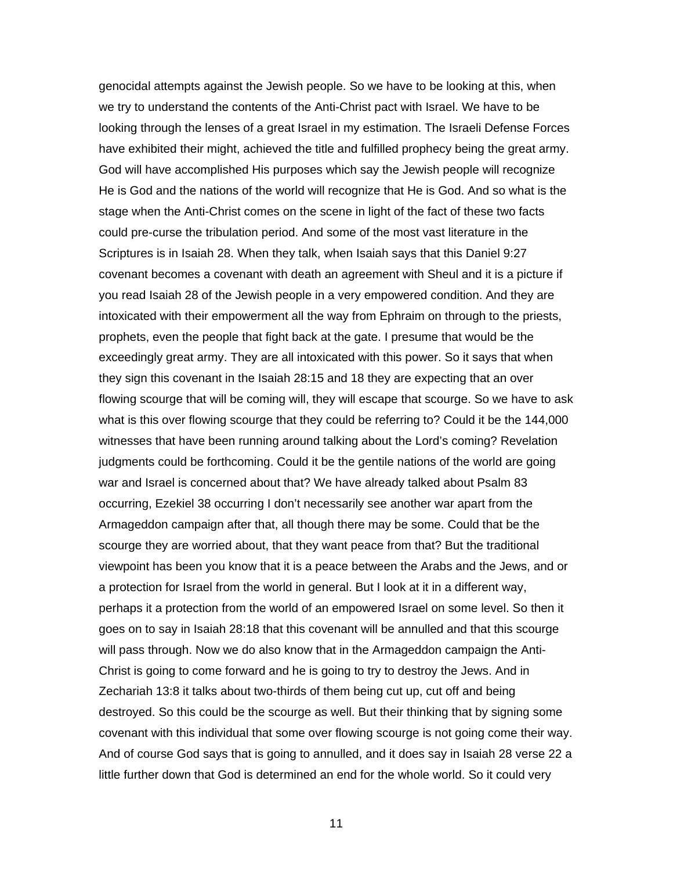genocidal attempts against the Jewish people. So we have to be looking at this, when we try to understand the contents of the Anti-Christ pact with Israel. We have to be looking through the lenses of a great Israel in my estimation. The Israeli Defense Forces have exhibited their might, achieved the title and fulfilled prophecy being the great army. God will have accomplished His purposes which say the Jewish people will recognize He is God and the nations of the world will recognize that He is God. And so what is the stage when the Anti-Christ comes on the scene in light of the fact of these two facts could pre-curse the tribulation period. And some of the most vast literature in the Scriptures is in Isaiah 28. When they talk, when Isaiah says that this Daniel 9:27 covenant becomes a covenant with death an agreement with Sheul and it is a picture if you read Isaiah 28 of the Jewish people in a very empowered condition. And they are intoxicated with their empowerment all the way from Ephraim on through to the priests, prophets, even the people that fight back at the gate. I presume that would be the exceedingly great army. They are all intoxicated with this power. So it says that when they sign this covenant in the Isaiah 28:15 and 18 they are expecting that an over flowing scourge that will be coming will, they will escape that scourge. So we have to ask what is this over flowing scourge that they could be referring to? Could it be the 144,000 witnesses that have been running around talking about the Lord's coming? Revelation judgments could be forthcoming. Could it be the gentile nations of the world are going war and Israel is concerned about that? We have already talked about Psalm 83 occurring, Ezekiel 38 occurring I don't necessarily see another war apart from the Armageddon campaign after that, all though there may be some. Could that be the scourge they are worried about, that they want peace from that? But the traditional viewpoint has been you know that it is a peace between the Arabs and the Jews, and or a protection for Israel from the world in general. But I look at it in a different way, perhaps it a protection from the world of an empowered Israel on some level. So then it goes on to say in Isaiah 28:18 that this covenant will be annulled and that this scourge will pass through. Now we do also know that in the Armageddon campaign the Anti-Christ is going to come forward and he is going to try to destroy the Jews. And in Zechariah 13:8 it talks about two-thirds of them being cut up, cut off and being destroyed. So this could be the scourge as well. But their thinking that by signing some covenant with this individual that some over flowing scourge is not going come their way. And of course God says that is going to annulled, and it does say in Isaiah 28 verse 22 a little further down that God is determined an end for the whole world. So it could very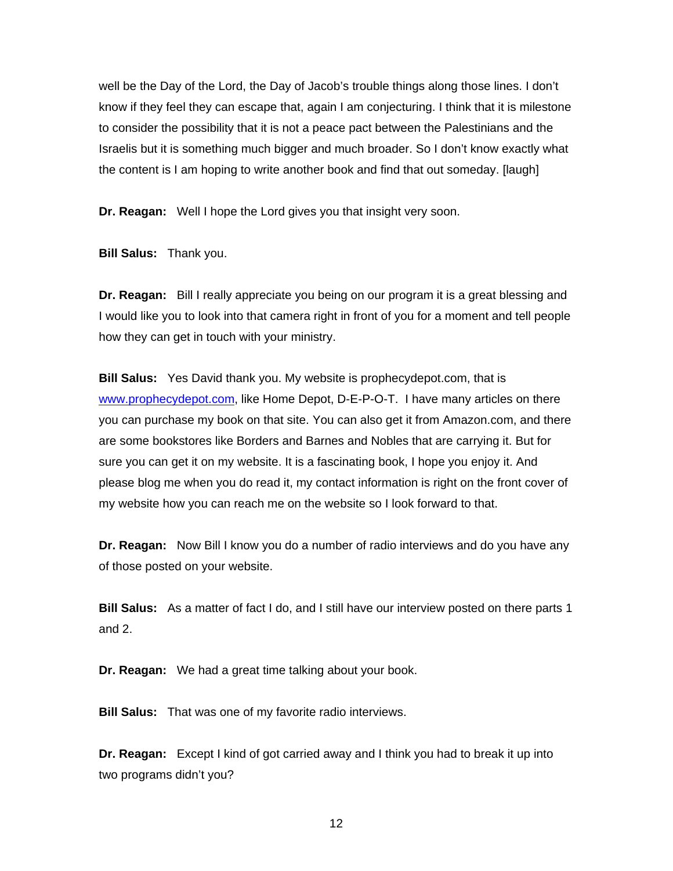well be the Day of the Lord, the Day of Jacob's trouble things along those lines. I don't know if they feel they can escape that, again I am conjecturing. I think that it is milestone to consider the possibility that it is not a peace pact between the Palestinians and the Israelis but it is something much bigger and much broader. So I don't know exactly what the content is I am hoping to write another book and find that out someday. [laugh]

**Dr. Reagan:** Well I hope the Lord gives you that insight very soon.

**Bill Salus:** Thank you.

**Dr. Reagan:** Bill I really appreciate you being on our program it is a great blessing and I would like you to look into that camera right in front of you for a moment and tell people how they can get in touch with your ministry.

**Bill Salus:** Yes David thank you. My website is prophecydepot.com, that is [www.prophecydepot.com,](http://www.prophecydepot.com/) like Home Depot, D-E-P-O-T. I have many articles on there you can purchase my book on that site. You can also get it from Amazon.com, and there are some bookstores like Borders and Barnes and Nobles that are carrying it. But for sure you can get it on my website. It is a fascinating book, I hope you enjoy it. And please blog me when you do read it, my contact information is right on the front cover of my website how you can reach me on the website so I look forward to that.

**Dr. Reagan:** Now Bill I know you do a number of radio interviews and do you have any of those posted on your website.

**Bill Salus:** As a matter of fact I do, and I still have our interview posted on there parts 1 and 2.

**Dr. Reagan:** We had a great time talking about your book.

**Bill Salus:** That was one of my favorite radio interviews.

**Dr. Reagan:** Except I kind of got carried away and I think you had to break it up into two programs didn't you?